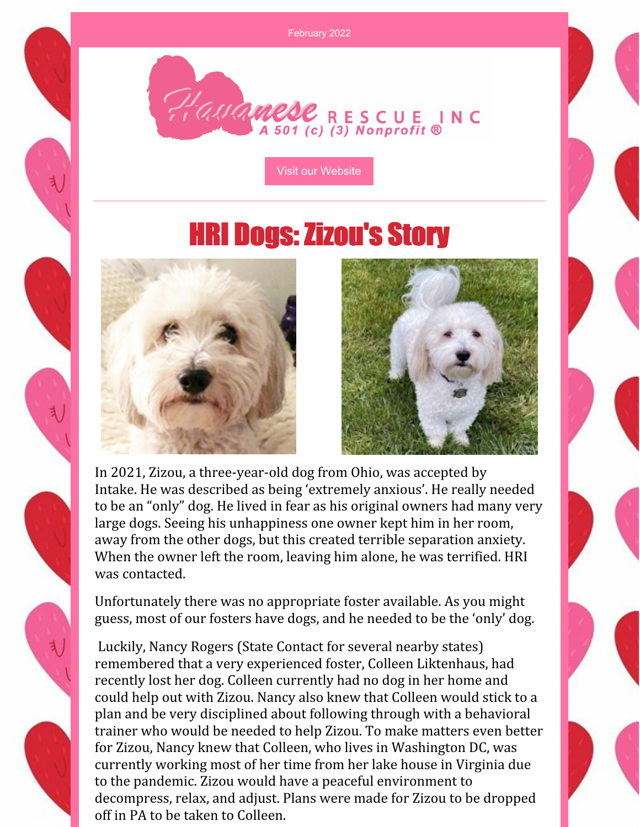February 2022



Visit our [Website](http://havaneserescue.com)

## **HRI Dogs: Zizou's Story**





In 2021, Zizou, a three-year-old dog from Ohio, was accepted by Intake. He was described as being 'extremely anxious'. He really needed to be an "only" dog. He lived in fear as his original owners had many very large dogs. Seeing his unhappiness one owner kept him in her room, away from the other dogs, but this created terrible separation anxiety. When the owner left the room, leaving him alone, he was terrified. HRI was contacted.

Unfortunately there was no appropriate foster available. As you might guess, most of our fosters have dogs, and he needed to be the 'only' dog.

Luckily, Nancy Rogers (State Contact for several nearby states) remembered that a very experienced foster, Colleen Liktenhaus, had recently lost her dog. Colleen currently had no dog in her home and could help out with Zizou. Nancy also knew that Colleen would stick to a plan and be very disciplined about following through with a behavioral trainer who would be needed to help Zizou. To make matters even better for Zizou, Nancy knew that Colleen, who lives in Washington DC, was currently working most of her time from her lake house in Virginia due to the pandemic. Zizou would have a peaceful environment to decompress, relax, and adjust. Plans were made for Zizou to be dropped off in PA to be taken to Colleen.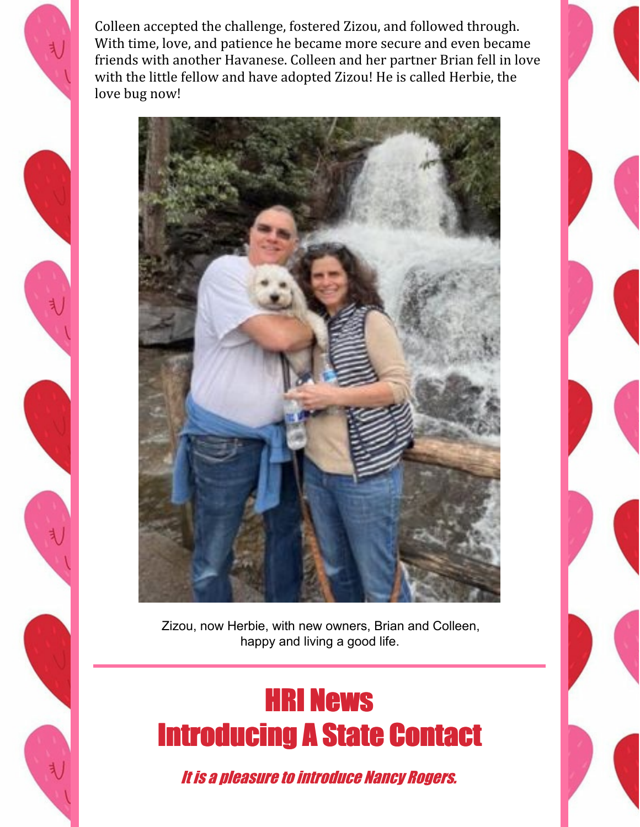Colleen accepted the challenge, fostered Zizou, and followed through. With time, love, and patience he became more secure and even became friends with another Havanese. Colleen and her partner Brian fell in love with the little fellow and have adopted Zizou! He is called Herbie, the love bug now!



Zizou, now Herbie, with new owners, Brian and Colleen, happy and living a good life.

## HRI News Introducing A State Contact

It is a pleasure to introduce Nancy Rogers.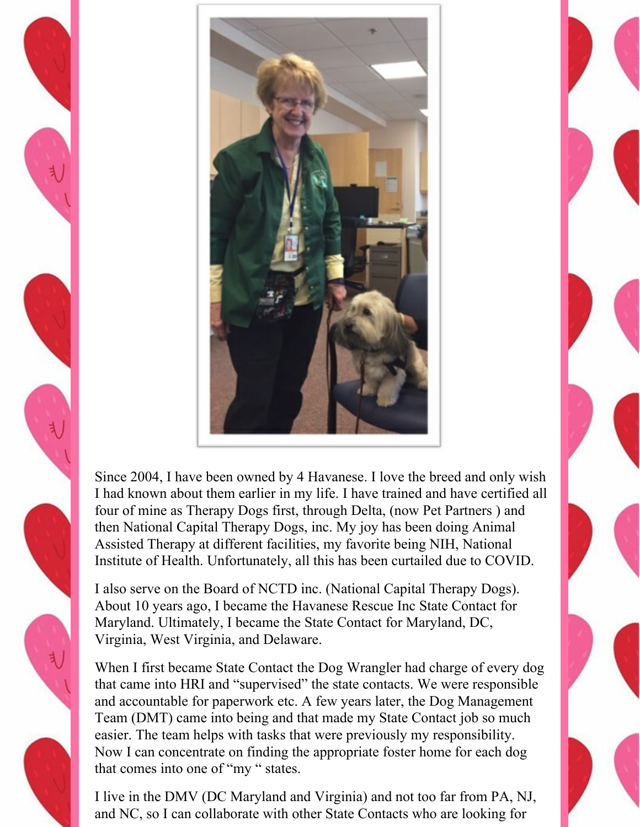



Since 2004, I have been owned by 4 Havanese. I love the breed and only wish I had known about them earlier in my life. I have trained and have certified all four of mine as Therapy Dogs first, through Delta, (now Pet Partners ) and then National Capital Therapy Dogs, inc. My joy has been doing Animal Assisted Therapy at different facilities, my favorite being NIH, National Institute of Health. Unfortunately, all this has been curtailed due to COVID.

I also serve on the Board of NCTD inc. (National Capital Therapy Dogs). About 10 years ago, I became the Havanese Rescue Inc State Contact for Maryland. Ultimately, I became the State Contact for Maryland, DC, Virginia, West Virginia, and Delaware.

When I first became State Contact the Dog Wrangler had charge of every dog that came into HRI and "supervised" the state contacts. We were responsible and accountable for paperwork etc. A few years later, the Dog Management Team (DMT) came into being and that made my State Contact job so much easier. The team helps with tasks that were previously my responsibility. Now I can concentrate on finding the appropriate foster home for each dog that comes into one of "my " states.

I live in the DMV (DC Maryland and Virginia) and not too far from PA, NJ, and NC, so I can collaborate with other State Contacts who are looking for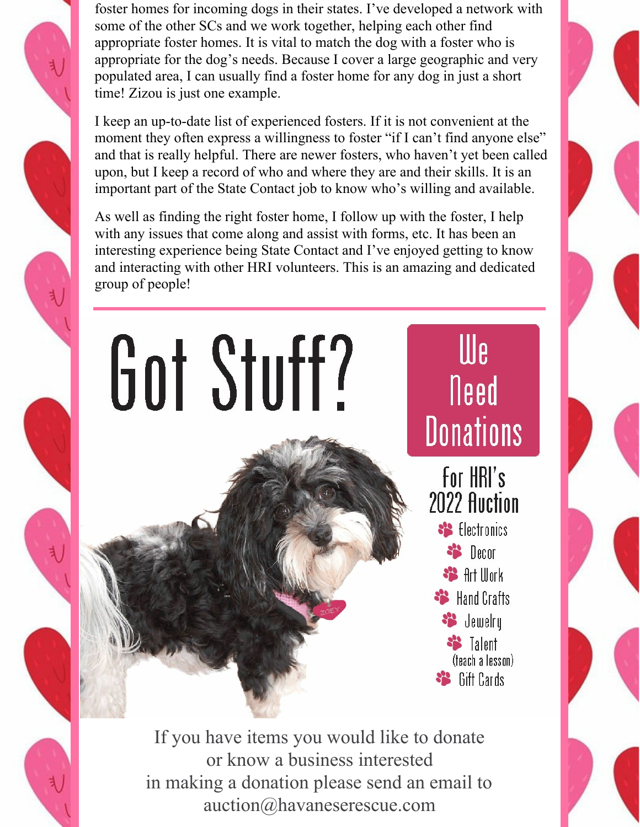foster homes for incoming dogs in their states. I've developed a network with some of the other SCs and we work together, helping each other find appropriate foster homes. It is vital to match the dog with a foster who is appropriate for the dog's needs. Because I cover a large geographic and very populated area, I can usually find a foster home for any dog in just a short time! Zizou is just one example.

I keep an up-to-date list of experienced fosters. If it is not convenient at the moment they often express a willingness to foster "if I can't find anyone else" and that is really helpful. There are newer fosters, who haven't yet been called upon, but I keep a record of who and where they are and their skills. It is an important part of the State Contact job to know who's willing and available.

As well as finding the right foster home, I follow up with the foster, I help with any issues that come along and assist with forms, etc. It has been an interesting experience being State Contact and I've enjoyed getting to know and interacting with other HRI volunteers. This is an amazing and dedicated group of people!

## Got Stuff?

We Need **Donations** 

For HRI's 2022 Auction <sup>8</sup> Electronics <sup>\*</sup> Decor **SB** Art Work **SP** Hand Crafts Signal demokry **SS** Talent (teach a lesson) **SB** Gift Cards

If you have items you would like to donate or know a business interested in making a donation please send an email to auction@havaneserescue.com